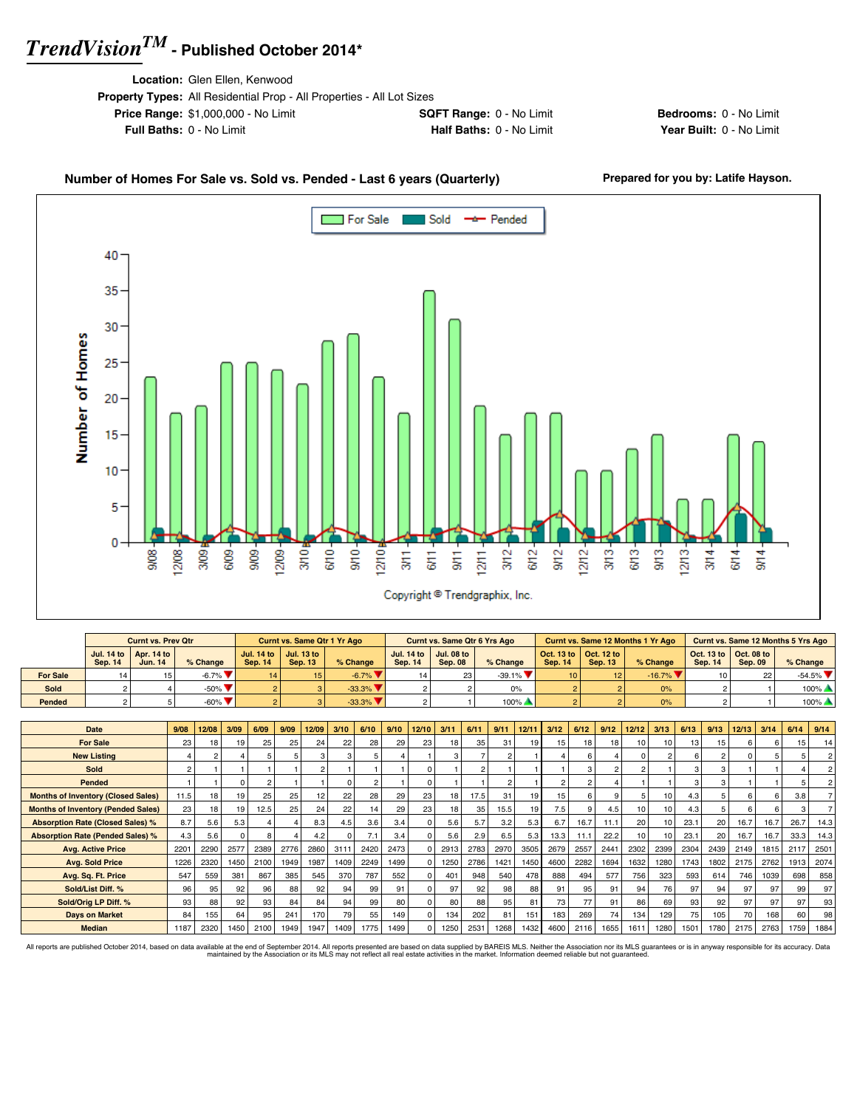**Location:** Glen Ellen, Kenwood

| <b>Property Types:</b> All Residential Prop - All Properties - All Lot Sizes |                                 |
|------------------------------------------------------------------------------|---------------------------------|
| <b>Price Range: \$1,000,000 - No Limit</b>                                   | <b>SQFT Range: 0 - No Limit</b> |
| <b>Full Baths: 0 - No Limit</b>                                              | Half Baths: 0 - No Limit        |

**Bedrooms:** 0 - No Limit **Year Built: 0 - No Limit** 

#### Number of Homes For Sale vs. Sold vs. Pended - Last 6 years (Quarterly) Prepared for you by: Latife Hayson.



|                 |         | <b>Curnt vs. Prev Qtr</b>                               |                              |                | <b>Curnt vs. Same Qtr 1 Yr Ago</b>          |                                |         | <b>Curnt vs. Same Qtr 6 Yrs Ago</b>         |                                |                 |                                                         | Curnt vs. Same 12 Months 1 Yr Ago |                                                         |                | Curnt vs. Same 12 Months 5 Yrs Ago |
|-----------------|---------|---------------------------------------------------------|------------------------------|----------------|---------------------------------------------|--------------------------------|---------|---------------------------------------------|--------------------------------|-----------------|---------------------------------------------------------|-----------------------------------|---------------------------------------------------------|----------------|------------------------------------|
|                 | Sep. 14 | Jul. 14 to $\vert$ Apr. 14 to $\vert$<br><b>Jun. 14</b> | % Change                     | <b>Sep. 14</b> | Jul. 14 to   Jul. 13 to  <br><b>Sep. 13</b> | % Change                       | Sep. 14 | Jul. 14 to   Jul. 08 to  <br><b>Sep. 08</b> | $%$ Change                     | <b>Sep. 14</b>  | Oct. 13 to $\vert$ Oct. 12 to $\vert$<br><b>Sep. 13</b> | $%$ Change                        | Oct. 13 to $\vert$ Oct. 08 to $\vert$<br><b>Sep. 14</b> | <b>Sep. 09</b> | $%$ Change                         |
| <b>For Sale</b> | 14      |                                                         | $-6.7\%$                     |                |                                             | $-6.7\%$                       |         |                                             | $-39.1\%$ $\blacktriangledown$ | 10 <sup>1</sup> | 12 <sup>1</sup>                                         | $-16.7\%$ $\blacktriangledown$    |                                                         | 22             | $-54.5\%$                          |
| Sold            |         |                                                         | $-50\%$ $\blacktriangledown$ |                |                                             | $-33.3\%$ $\blacktriangledown$ |         |                                             | 0%                             |                 |                                                         | 0%                                |                                                         |                | $100\%$ $\triangle$                |
| Pended          |         |                                                         | $-60\%$ $\blacktriangledown$ |                |                                             | $-33.3\%$ $\blacktriangledown$ |         |                                             | $100\%$                        |                 |                                                         | 0%                                |                                                         |                | $100\%$ $\triangle$                |

| <b>Date</b>                               | 9/08           | 12/08           | 3/09 | 6/09 | 9/09 | 12/09 | 3/10 | 6/10          | 9/10 | 12/10    | 3/11 | 6/11 | 9/11           | 12/11 | 3/12 | 6/12 | 9/12 | 12/12          | 3/13           | 6/13       | 9/13           | 12/13 | 3/14 | 6/14 | 9/14 |
|-------------------------------------------|----------------|-----------------|------|------|------|-------|------|---------------|------|----------|------|------|----------------|-------|------|------|------|----------------|----------------|------------|----------------|-------|------|------|------|
| <b>For Sale</b>                           |                |                 |      |      |      |       |      |               |      | 23       |      | 35   |                |       |      |      |      |                |                |            |                |       |      |      |      |
|                                           | 23             | 18              | 19   | 25   | 25   | 24    | 22   | 28            | 29   |          | 18   |      | 31             | 19    | 15   | 18   | 18   | 10             | 10             | 13         | 15             | 6     | 6    | 15   | 14   |
| <b>New Listing</b>                        |                |                 |      |      |      |       |      |               |      |          |      |      |                |       |      |      |      | n              | $\overline{2}$ | $\epsilon$ | $\mathfrak{p}$ |       |      |      |      |
| <b>Sold</b>                               | $\mathfrak{p}$ |                 |      |      |      |       |      |               |      | $\Omega$ |      | 2    |                |       |      |      |      | $\overline{2}$ |                | 3          | 3              |       |      |      |      |
| Pended                                    |                |                 | 0    |      |      |       |      | $\mathcal{P}$ |      | $\Omega$ |      |      | $\overline{a}$ |       |      |      |      |                |                | 3          | 3              |       |      |      |      |
| <b>Months of Inventory (Closed Sales)</b> | 11.5           | 18 <sub>1</sub> | 19   | 25   | 25   | 12    | 22   | 28            | 29   | 23       | 18   | 17.5 | 31             | 19    | 15   |      |      | h              | 10             | 4.3        | 5              |       |      | 3.8  |      |
| <b>Months of Inventory (Pended Sales)</b> | 23             | 18              | 19   | 12.5 | 25   | 24    | 22   | 14            | 29   | 23       | 18   | 35   | 15.5           | 19    | 7.5  |      | 4.5  | 10             | 10             | 4.3        | 5              | 6.    | 6    |      |      |
| <b>Absorption Rate (Closed Sales) %</b>   | 8.7            | 5.6             | 5.3  |      |      | 8.3   | 4.5  | 3.6           | 3.4  | $\Omega$ | 5.6  | 5.7  | 3.2            | 5.3   | 6.7  | 16.7 | 11.1 | 20             | 10             | 23.1       | 20             | 16.7  | 16.7 | 26.7 | 14.3 |
| <b>Absorption Rate (Pended Sales) %</b>   | 4.3            | 5.6             | 0    |      |      | 4.2   |      | 7.1           | 3.4  | $\Omega$ | 5.6  | 2.9  | 6.5            | 5.3   | 13.3 | 11.1 | 22.2 | 10             | 10             | 23.1       | 20             | 16.7  | 16.7 | 33.3 | 14.3 |
| <b>Avg. Active Price</b>                  | 2201           | 2290            | 2577 | 2389 | 2776 | 2860  | 3111 | 2420          | 2473 | $\Omega$ | 2913 | 2783 | 2970           | 3505  | 2679 | 2557 | 2441 | 2302           | 2399           | 2304       | 2439           | 2149  | 1815 | 2117 | 2501 |
| <b>Avg. Sold Price</b>                    | 1226           | 2320            | 1450 | 2100 | 1949 | 1987  | 1409 | 2249          | 1499 | $\Omega$ | 1250 | 2786 | 1421           | 1450  | 4600 | 2282 | 1694 | 1632           | 1280           | 1743       | 1802           | 2175  | 2762 | 1913 | 2074 |
| Avg. Sq. Ft. Price                        | 547            | 559             | 381  | 867  | 385  | 545   | 370  | 787           | 552  |          | 401  | 948  | 540            | 478   | 888  | 494  | 577  | 756            | 323            | 593        | 614            | 746   | 1039 | 698  | 858  |
| Sold/List Diff. %                         | 96             | 95              | 92   | 96   | 88   | 92    | 94   | 99            | 91   | $\Omega$ | 97   | 92   | 98             | 88    | 91   | 95   | 91   | 94             | 76             | 97         | 94             | 97    | 97   | 99   | 97   |
| Sold/Orig LP Diff. %                      | 93             | 88              | 92   | 93   | 84   | 84    | 94   | 99            | 80   | $\Omega$ | 80   | 88   | 95             | 81    | 73   | 77   | 91   | 86             | 69             | 93         | 92             | 97    | 97   | 97   | 93   |
| <b>Days on Market</b>                     | 84             | 155             | 64   | 95   | 241  | 170   | 79   | 55            | 149  | 0        | 134  | 202  | 81             | 151   | 183  | 269  | 74   | 134            | 129            | 75         | 105            | 70    | 168  | 60   | 98   |
| <b>Median</b>                             | 1187           | 2320            | 1450 | 2100 | 1949 | 1947  | 1409 | 1775          | 1499 | $\Omega$ | 1250 | 2531 | 1268           | 1432  | 4600 | 2116 | 1655 | 1611           | 1280           | 1501       | 1780           | 2175  | 2763 | 1759 | 1884 |

All reports are published October 2014, based on data available at the end of September 2014. All reports presented are based on data avaindanced by the Association or its MLS may not reflect all real estate activities in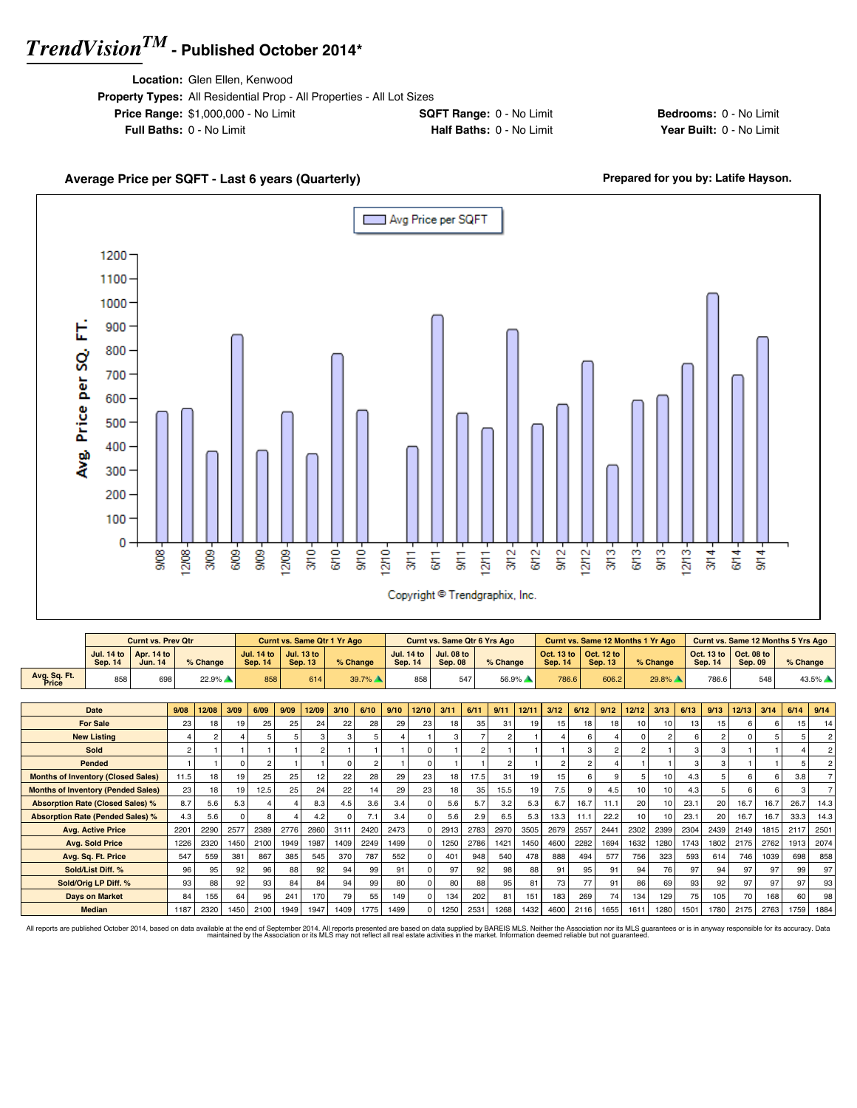**Location:** Glen Ellen, Kenwood

| <b>Property Types:</b> All Residential Prop - All Properties - All Lot Sizes |                                 |
|------------------------------------------------------------------------------|---------------------------------|
| <b>Price Range: \$1,000,000 - No Limit</b>                                   | <b>SQFT Range: 0 - No Limit</b> |
| <b>Full Baths: 0 - No Limit</b>                                              | Half Baths: 0 - No Limit        |

**Bedrooms:** 0 - No Limit **Year Built: 0 - No Limit** 

#### Average Price per SQFT - Last 6 years (Quarterly) **Prepared for you by: Latife Hayson.** Avg Price per SQFT г 1200 1100 1000 Avg. Price per SQ. FT. 900 800 700 600 500 400 300 200 100 0  $3/10 6/10$  $rac{1}{25}$  $12/10 3/12 9/12 12/12 \frac{3}{5}$  $613 9/13 12/13 3/14 -$ 908  $12/08$ 3/09 6/09-9/09 12/09- $3/11$  $6/11$  $\frac{1}{3}$  $12/11 6/12$  $6/14 9/14$ Copyright <sup>@</sup> Trendgraphix, Inc.

|                                           |                                     | <b>Curnt vs. Prev Qtr</b>    |                |                |          |                                     |      | <b>Curnt vs. Same Qtr 1 Yr Ago</b>  |          |                |      |                                     | <b>Curnt vs. Same Qtr 6 Yrs Ago</b> |              |                |       |                              |                | <b>Curnt vs. Same 12 Months 1 Yr Ago</b> |               |                |      | Curnt vs. Same 12 Months 5 Yrs Ago |                              |      |          |                |
|-------------------------------------------|-------------------------------------|------------------------------|----------------|----------------|----------|-------------------------------------|------|-------------------------------------|----------|----------------|------|-------------------------------------|-------------------------------------|--------------|----------------|-------|------------------------------|----------------|------------------------------------------|---------------|----------------|------|------------------------------------|------------------------------|------|----------|----------------|
|                                           | <b>Jul. 14 to</b><br><b>Sep. 14</b> | <b>Apr. 14 to</b><br>Jun. 14 |                | % Change       |          | <b>Jul. 14 to</b><br><b>Sep. 14</b> |      | <b>Jul. 13 to</b><br><b>Sep. 13</b> |          | % Change       |      | <b>Jul. 14 to</b><br><b>Sep. 14</b> | <b>Jul. 08 to</b><br><b>Sep. 08</b> |              | % Change       |       | Oct. 13 to<br><b>Sep. 14</b> |                | Oct. 12 to<br><b>Sep. 13</b>             |               | % Change       |      | Oct. 13 to<br><b>Sep. 14</b>       | Oct. 08 to<br><b>Sep. 09</b> |      | % Change |                |
| Avg. Sq. Ft.<br>Price                     | 858                                 | 698                          |                | 22.9%          |          | 858                                 |      | 614                                 |          | 39.7%          |      | 858                                 |                                     | 547          |                | 56.9% | 786.6                        |                | 606.2                                    |               | 29.8%          |      | 786.6                              |                              | 548  |          | 43.5%          |
|                                           |                                     |                              |                |                |          |                                     |      |                                     |          |                |      |                                     |                                     |              |                |       |                              |                |                                          |               |                |      |                                    |                              |      |          |                |
|                                           | <b>Date</b>                         |                              | 9/08           | 12/08          | 3/09     | 6/09                                | 9/09 | 12/09                               | 3/10     | 6/10           | 9/10 | 12/10                               | 3/11                                | 6/11         | 9/11           | 12/11 | 3/12                         | 6/12           | 9/12                                     | 12/12         | 3/13           | 6/13 | 9/13                               | 12/13                        | 3/14 | 6/14     | 9/14           |
|                                           | <b>For Sale</b>                     |                              | 23             | 18             | 19       | 25                                  | 25   | 24                                  | 22       | 28             | 29   | 23                                  | 18                                  | 35           | 31             | 19    | 15                           | 18             | 18                                       | 10            | 10             | 13   | 15                                 | 6.                           | 6    | 15       | 14             |
|                                           | <b>New Listing</b>                  |                              |                | $\overline{2}$ |          |                                     |      |                                     | 3        | 5              |      |                                     |                                     |              | $\mathfrak{p}$ |       |                              | 6              |                                          | $\Omega$      | $\overline{2}$ | 6    | $\mathfrak{p}$                     |                              |      |          | $\overline{2}$ |
|                                           | Sold                                |                              | $\overline{c}$ |                |          |                                     |      |                                     |          |                |      | $\Omega$                            |                                     | $\mathbf{2}$ |                |       |                              | 3              |                                          | $\mathcal{P}$ |                | 3    | 3                                  |                              |      |          | $\overline{2}$ |
|                                           | Pended                              |                              |                |                | 0        | 2                                   |      |                                     | $\Omega$ | $\overline{2}$ |      | $\Omega$                            |                                     |              | $\mathfrak{p}$ |       |                              | $\mathfrak{p}$ |                                          |               |                | 3    | 3                                  |                              |      |          | $\overline{2}$ |
| <b>Months of Inventory (Closed Sales)</b> |                                     |                              | 11.5           | 18             | 19       | 25                                  | 25   | 12                                  | 22       | 28             | 29   | 23                                  | 18                                  | 17.5         | 31             | 19    | 15                           | 6              |                                          | 5             | 10             | 4.3  | 5                                  | 6.                           | ĥ    | 3.8      |                |
| <b>Months of Inventory (Pended Sales)</b> |                                     |                              | 23             | 18             | 19       | 12.5                                | 25   | 24                                  | 22       | 14             | 29   | 23                                  | 18                                  | 35           | 15.5           | 19    | 7.5                          | 9              | 4.5                                      | 10            | 10             | 4.3  | 5                                  | 6.                           | 6    |          |                |
| <b>Absorption Rate (Closed Sales) %</b>   |                                     |                              | 8.7            | 5.6            | 5.3      |                                     |      | 8.3                                 | 4.5      | 3.6            | 3.4  | $\Omega$                            | 5.6                                 | 5.7          | 3.2            | 5.3   | 6.7                          | 16.7           | 11.1                                     | 20            | 10             | 23.1 | 20                                 | 16.7                         | 16.7 | 26.7     | 14.3           |
| <b>Absorption Rate (Pended Sales) %</b>   |                                     |                              | 4.3            | 5.6            | $\Omega$ |                                     |      | 4.2                                 |          | 7.1            | 3.4  | $\Omega$                            | 5.6                                 | 2.9          | 6.5            | 5.3   | 13.3                         | 11.1           | 22.2                                     | 10            | 10             | 23.1 | 20                                 | 16.7                         | 16.7 | 33.3     | 14.3           |
|                                           | <b>Avg. Active Price</b>            |                              | 2201           | 2290           | 2577     | 2389                                | 2776 | 2860                                | 3111     | 2420           | 2473 | $\Omega$                            | 2913                                | 2783         | 2970           | 3505  | 2679                         | 2557           | 2441                                     | 2302          | 2399           | 2304 | 2439                               | 2149                         | 1815 | 2117     | 2501           |
|                                           | <b>Avg. Sold Price</b>              |                              | 1226           | 2320           | 1450     | 2100                                | 1949 | 1987                                | 1409     | 2249           | 1499 | $\Omega$                            | 1250                                | 2786         | 1421           | 1450  | 4600                         | 2282           | 1694                                     | 1632          | 1280           | 1743 | 1802                               | 2175                         | 2762 | 1913     | 2074           |
|                                           | Avg. Sq. Ft. Price                  |                              | 547            | 559            | 381      | 867                                 | 385  | 545                                 | 370      | 787            | 552  | $\Omega$                            | 401                                 | 948          | 540            | 478   | 888                          | 494            | 577                                      | 756           | 323            | 593  | 614                                | 746                          | 1039 | 698      | 858            |
|                                           | Sold/List Diff. %                   |                              | 96             | 95             | 92       | 96                                  | 88   | 92                                  | 94       | 99             | 91   | $\Omega$                            | 97                                  | 92           | 98             | 88    | 91                           | 95             | 91                                       | 94            | 76             | 97   | 94                                 | 97                           | 97   | 99       | 97             |
|                                           | Sold/Orig LP Diff. %                |                              | 93             | 88             | 92       | 93                                  | 84   | 84                                  | 94       | 99             | 80   | $\Omega$                            | 80                                  | 88           | 95             | 81    | 73                           | 77             | 91                                       | 86            | 69             | 93   | 92                                 | 97                           | 97   | 97       | 93             |
|                                           | <b>Davs on Market</b>               |                              | 84             | 155            | 64       | 95                                  | 241  | 170                                 | 79       | 55             | 149  | $\Omega$                            | 134                                 | 202          | 81             | 151   | 183                          | 269            | 74                                       | 134           | 129            | 75   | 105                                | 70                           | 168  | 60       | 98             |
|                                           | <b>Median</b>                       |                              | 1187           | 2320           | 1450     | 2100                                | 1949 | 1947                                | 1409     | 1775           | 1499 | $\Omega$                            | 1250                                | 2531         | 1268           | 1432  | 4600                         | 2116           | 1655                                     | 1611          | 1280           | 1501 | 1780                               | 2175                         | 2763 | 1759     | 1884           |

All reports are published October 2014, based on data available at the end of September 2014. All reports presented are based on data avaindanced by the Association or its MLS may not reflect all real estate activities in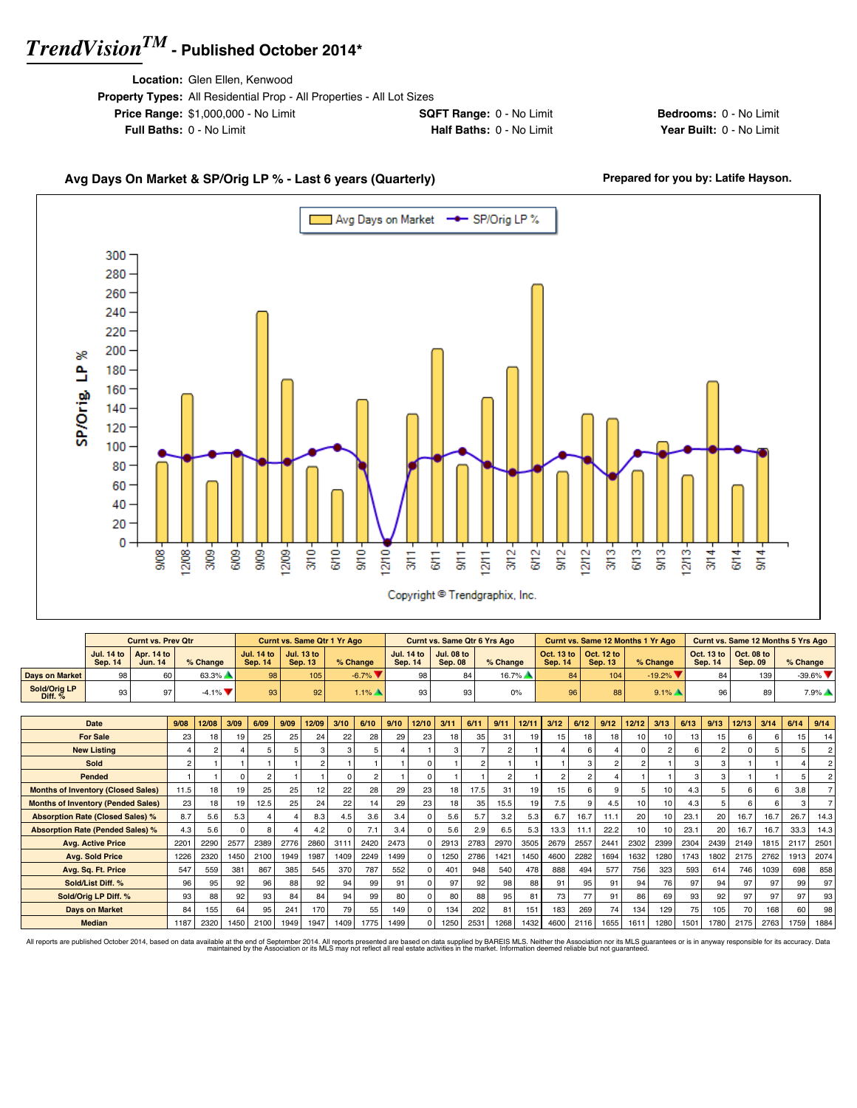**Location:** Glen Ellen, Kenwood

| <b>Property Types:</b> All Residential Prop - All Properties - All Lot Sizes |                                 |
|------------------------------------------------------------------------------|---------------------------------|
| <b>Price Range: \$1,000,000 - No Limit</b>                                   | <b>SQFT Range: 0 - No Limit</b> |
| <b>Full Baths: 0 - No Limit</b>                                              | <b>Half Baths: 0 - No Limit</b> |

**Bedrooms:** 0 - No Limit **Year Built: 0 - No Limit** 

### Avg Days On Market & SP/Orig LP % - Last 6 years (Quarterly) **Prepared for you by: Latife Hayson.**



|                           |                 | <b>Curnt vs. Prev Qtr</b>                        |                               |                 | <b>Curnt vs. Same Qtr 1 Yr Ago</b>                      |                     |         | <b>Curnt vs. Same Qtr 6 Yrs Ago</b>                     |            |                |                                                         | Curnt vs. Same 12 Months 1 Yr Ago |                                                                 |                | <b>Curnt vs. Same 12 Months 5 Yrs Ago</b> |
|---------------------------|-----------------|--------------------------------------------------|-------------------------------|-----------------|---------------------------------------------------------|---------------------|---------|---------------------------------------------------------|------------|----------------|---------------------------------------------------------|-----------------------------------|-----------------------------------------------------------------|----------------|-------------------------------------------|
|                           | Sep. 14         | Jul. 14 to $\vert$ Apr. 14 to $\vert$<br>Jun. 14 | % Change                      | <b>Sep. 14</b>  | Jul. 14 to $\vert$ Jul. 13 to $\vert$<br><b>Sep. 13</b> | % Change            | Sep. 14 | Jul. 14 to $\vert$ Jul. 08 to $\vert$<br><b>Sep. 08</b> | $%$ Change | <b>Sep. 14</b> | Oct. 13 to $\vert$ Oct. 12 to $\vert$<br><b>Sep. 13</b> | % Change                          | $\vert$ Oct. 13 to $\vert$ Oct. 08 to $\vert$<br><b>Sep. 14</b> | <b>Sep. 09</b> | $%$ Change                                |
| <b>Days on Market</b>     | 98              | 60                                               | 63.3%                         | 98 l            | 1051                                                    | $-6.7\%$            | 98      |                                                         | $16.7\%$   | 84             | 104                                                     | $-19.2\%$ $\blacktriangledown$    | 84                                                              | 139            | $-39.6\%$                                 |
| Sold/Oria LP<br>Diff. $%$ | 93 <sub>1</sub> | 97                                               | $-4.1\%$ $\blacktriangledown$ | 93 <sub>1</sub> | 92                                                      | $1.1\%$ $\triangle$ | 93      |                                                         | 0%         |                | 88                                                      | $9.1\%$ $\triangle$               | 96                                                              | 89             | $7.9\%$                                   |

| Date                                      | 9/08           | 12/08 | 3/09     | 6/09 | 9/09            | 12/09 | 3/10 | 6/10          | 9/10 | 12/10    | 3/11            | 6/11           | 9/11 | 12/11 | 3/12 | 6/12 | 9/12          | 12/12            | 3/13           | 6/13            | 9/13           | 12/13 | 3/14 | 6/14 | 9/14 |
|-------------------------------------------|----------------|-------|----------|------|-----------------|-------|------|---------------|------|----------|-----------------|----------------|------|-------|------|------|---------------|------------------|----------------|-----------------|----------------|-------|------|------|------|
| <b>For Sale</b>                           | 23             | 18    | 19       | 25   | 25              | 24    | 22   | 28            | 29   | 23       | 18 <sub>1</sub> | 35             | 31   | 19    | 15.  | 18   | 18            | 10 <sup>1</sup>  | 10             | 13 <sub>1</sub> | 15             |       |      | 15   | 14   |
| <b>New Listing</b>                        |                | 2     |          |      |                 |       | 3    |               |      |          | 3               |                |      |       |      |      |               |                  | $\mathfrak{p}$ |                 | $\mathfrak{p}$ |       |      |      |      |
| Sold                                      | $\overline{c}$ |       |          |      |                 |       |      |               |      | $\Omega$ |                 | $\overline{2}$ |      |       |      | 3    | $\mathcal{P}$ | $\overline{2}$   |                | 3               | 3              |       |      |      |      |
| Pended                                    |                |       | $\Omega$ |      |                 |       |      | $\mathcal{P}$ |      | $\Omega$ |                 |                |      |       |      | 2    |               |                  |                | з               | 3              |       |      |      |      |
| <b>Months of Inventory (Closed Sales)</b> | 11.5           | 18    | 19       | 25   | 25              | 12    | 22   | 28            | 29   | 23       | 18              | 17.5           | 31   | 19    | 15   |      | $\mathbf{q}$  |                  | 10             | 4.3             |                |       |      | 3.8  |      |
| <b>Months of Inventory (Pended Sales)</b> | 23             | 18    | 19       | 12.5 | 25 <sub>1</sub> | 24    | 22   | 14            | 29   | 23       | 18 <sub>1</sub> | 35             | 15.5 | 19    | 7.5  |      | 4.5           | 10               | 10             | 4.3             |                |       |      |      |      |
| <b>Absorption Rate (Closed Sales) %</b>   | 8.7            | 5.6   | 5.3      |      |                 | 8.3   | 4.5  | 3.6           | 3.4  | $\Omega$ | 5.6             | 5.7            | 3.2  | 5.3   | 6.7  | 16.7 | 11.1          | 20               | 10             | 23.1            | 20             | 16.7  | 16.7 | 26.7 | 14.3 |
| <b>Absorption Rate (Pended Sales) %</b>   | 4.3            | 5.6   | $\Omega$ |      |                 | 4.2   |      | 7.1           | 3.4  | $\Omega$ | 5.6             | 2.9            | 6.5  | 5.3   | 13.3 | 11.1 | 22.2          | 10 <sup>10</sup> | 10             | 23.1            | 20             | 16.7  | 16.7 | 33.3 | 14.3 |
| <b>Avg. Active Price</b>                  | 2201           | 2290  | 2577     | 2389 | 2776            | 2860  | 3111 | 2420          | 2473 | $\Omega$ | 2913            | 2783           | 2970 | 3505  | 2679 | 2557 | 2441          | 2302             | 2399           | 2304            | 2439           | 2149  | 1815 | 2117 | 2501 |
| <b>Avg. Sold Price</b>                    | 1226           | 2320  | 1450     | 2100 | 1949            | 1987  | 1409 | 2249          | 1499 | $\Omega$ | 1250            | 2786           | 1421 | 1450  | 4600 | 2282 | 1694          | 1632             | 1280           | 1743            | 1802           | 2175  | 2762 | 1913 | 2074 |
| Avg. Sq. Ft. Price                        | 547            | 559   | 381      | 867  | 385             | 545   | 370  | 787           | 552  | $\Omega$ | 401             | 948            | 540  | 478   | 888  | 494  | 577           | 756              | 323            | 593             | 614            | 746   | 1039 | 698  | 858  |
| Sold/List Diff. %                         | 96             | 95    | 92       | 96   | 88              | 92    | 94   | 99            | 91   | $\Omega$ | 97              | 92             | 98   | 88    | 91   | 95   | 91            | 94               | 76             | 97              | 94             | 97    | 97   | 99   | 97   |
| Sold/Orig LP Diff. %                      | 93             | 88    | 92       | 93   | 84              | 84    | 94   | 99            | 80   | 0        | 80              | 88             | 95   | 81    | 73   | 77   | 91            | 86               | 69             | 93              | 92             | 97    | 97   | 97   | 93   |
| <b>Days on Market</b>                     | 84             | 155   | 64       | 95   | 241             | 170   | 79   | 55            | 149  | $\Omega$ | 134             | 202            | 81   | 151   | 183  | 269  | 74            | 134              | 129            | 75              | 105            | 70    | 168  | 60   | 98   |
| <b>Median</b>                             | 1187           | 2320  | 1450     | 2100 | 1949            | 1947  | 1409 | 1775          | 1499 | $\Omega$ | 1250            | 2531           | 1268 | 1432  | 4600 | 2116 | 1655          | 1611             | 1280           | 1501            | 1780           | 2175  | 2763 | 1759 | 1884 |

All reports are published October 2014, based on data available at the end of September 2014. All reports presented are based on data avapplied by the Association or its MLS may not reflect all real estate activities in th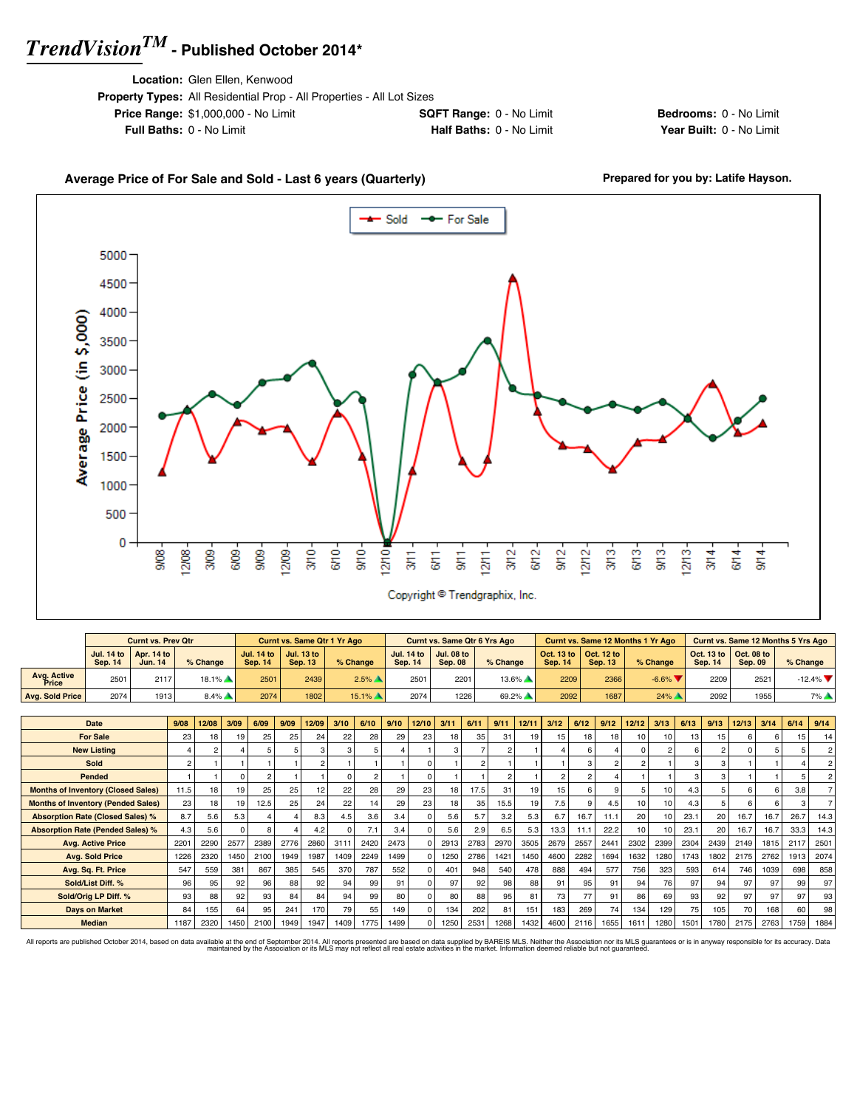**Location:** Glen Ellen, Kenwood

| <b>Property Types:</b> All Residential Prop - All Properties - All Lot Sizes |                                 |
|------------------------------------------------------------------------------|---------------------------------|
| <b>Price Range: \$1,000,000 - No Limit</b>                                   | <b>SQFT Range: 0 - No Limit</b> |
| <b>Full Baths: 0 - No Limit</b>                                              | Half Baths: 0 - No Limit        |

**Bedrooms:** 0 - No Limit **Year Built: 0 - No Limit** 

#### Average Price of For Sale and Sold - Last 6 years (Quarterly) **Prepared for you by: Latife Hayson.**



|                             |         | <b>Curnt vs. Prev Qtr</b>                               |                     |                | <b>Curnt vs. Same Qtr 1 Yr Ago</b>                      |                     |                | <b>Curnt vs. Same Qtr 6 Yrs Ago</b>         |          |                |                                             | Curnt vs. Same 12 Months 1 Yr Ago |                |                                                          | Curnt vs. Same 12 Months 5 Yrs Ago |
|-----------------------------|---------|---------------------------------------------------------|---------------------|----------------|---------------------------------------------------------|---------------------|----------------|---------------------------------------------|----------|----------------|---------------------------------------------|-----------------------------------|----------------|----------------------------------------------------------|------------------------------------|
|                             | Sep. 14 | Jul. 14 to $\vert$ Apr. 14 to $\vert$<br><b>Jun. 14</b> | % Change            | <b>Sep. 14</b> | Jul. 14 to $\vert$ Jul. 13 to $\vert$<br><b>Sep. 13</b> | % Change            | <b>Sep. 14</b> | Jul. 14 to   Jul. 08 to  <br><b>Sep. 08</b> | % Change | <b>Sep. 14</b> | Oct. 13 to   Oct. 12 to  <br><b>Sep. 13</b> | % Change                          | <b>Sep. 14</b> | $\vert$ Oct. 13 to $\vert$ Oct. 08 to $\vert$<br>Sep. 09 | $%$ Change                         |
| <b>Avg. Active</b><br>Price | 2501    | 2117                                                    | $18.1\%$            | 2501           | 2439                                                    | $2.5\%$ $\triangle$ | 2501           | $220 -$                                     | $13.6\%$ | 2209           | 2366                                        | $-6.6\%$ $\blacktriangledown$     | 2209           | 2521                                                     | $-12.4\%$ $\blacktriangledown$     |
| Avg. Sold Price             | 2074    | 1913                                                    | $8.4\%$ $\triangle$ | 2074           | 1802                                                    | $15.1\%$            | 2074           | 1226                                        | 69.2%    | 2092           | 1687                                        | $24\%$ $\triangle$                | 2092           | 1955                                                     | 7%                                 |

| <b>Date</b>                               | 9/08            | 12/08           | 3/09            | 6/09 | 9/09 | 12/09 | 3/10     | 6/10 | 9/10 | 12/10    | 3/11            | 6/11 | 9/11 | 12/11 | 3/12 | 6/12 | 9/12            | 12/12           | 3/13 | 6/13 | 9/13 | 12/13 | 3/14 | 6/14 | 9/14            |
|-------------------------------------------|-----------------|-----------------|-----------------|------|------|-------|----------|------|------|----------|-----------------|------|------|-------|------|------|-----------------|-----------------|------|------|------|-------|------|------|-----------------|
| <b>For Sale</b>                           | 23 <sub>1</sub> | 18              | 19              | 25   | 25   | 24    | 22       | 28   | 29   | 23       | 18              | 35   | 31   | 19    | 15.  | 18   | 18 <sub>1</sub> | 10              | 10   | 13   | 15   |       |      | 15   | 14              |
| <b>New Listing</b>                        |                 |                 |                 |      |      |       | з        |      |      |          | 3               |      |      |       |      |      |                 |                 | 2    | ĥ    | 2    |       |      |      | 2 <sup>1</sup>  |
| Sold                                      | $\overline{2}$  |                 |                 |      |      |       |          |      |      |          |                 |      |      |       |      |      |                 |                 |      |      | 3    |       |      |      | 2 <sup>1</sup>  |
| Pended                                    |                 |                 |                 |      |      |       | $\Omega$ |      |      |          |                 |      |      |       |      |      |                 |                 |      |      | 3    |       |      |      | 2 <sup>1</sup>  |
| <b>Months of Inventory (Closed Sales)</b> | 11.5            | 18 <sub>1</sub> | 19              | 25   | 25   | 12    | 22       | 28   | 29   | 23       | 18              | 17.5 | 31   | 19    | 15   | ĥ    | $\mathbf{q}$    |                 | 10   | 4.3  |      |       |      | 3.8  |                 |
| <b>Months of Inventory (Pended Sales)</b> | 23              | 18              | 19              | 12.5 | 25   | 24    | 22       | 14   | 29   | 23       | 18 <sub>1</sub> | 35   | 15.5 | 19    | 7.5  |      | 4.5             | 10 <sup>1</sup> | 10   | 4.3  |      |       |      |      |                 |
| <b>Absorption Rate (Closed Sales) %</b>   | 8.7             | 5.6             | 5.3             |      |      | 8.3   | 4.5      | 3.6  | 3.4  | $\Omega$ | 5.6             | 5.7  | 3.2  | 5.3   | 6.7  | 16.7 | 11.1            | 20              | 10   | 23.1 | 20   | 16.7  | 16.7 | 26.7 | 14.3            |
| <b>Absorption Rate (Pended Sales) %</b>   | 4.3             | 5.6             |                 |      |      | 4.2   | $\Omega$ | 7.1  | 3.4  | ŋ        | 5.6             | 2.9  | 6.5  | 5.3   | 13.3 | 11.1 | 22.2            | 10 <sup>1</sup> | 10   | 23.1 | 20   | 16.7  | 16.7 | 33.3 | 14.3            |
| <b>Avg. Active Price</b>                  | 2201            | 2290            | 2577            | 2389 | 2776 | 2860  | 3111     | 2420 | 2473 |          | 2913            | 2783 | 2970 | 3505  | 2679 | 2557 | 2441            | 2302            | 2399 | 2304 | 2439 | 2149  | 1815 | 2117 | 2501            |
| <b>Avg. Sold Price</b>                    | 1226            | 2320            | 1450            | 2100 | 1949 | 1987  | 1409     | 2249 | 1499 |          | 1250            | 2786 | 1421 | 1450  | 4600 | 2282 | 1694            | 1632            | 1280 | 1743 | 1802 | 2175  | 2762 | 1913 | 2074            |
| Avg. Sq. Ft. Price                        | 547             | 559             | 381             | 867  | 385  | 545   | 370      | 787  | 552  | ŋ        | 401             | 948  | 540  | 478   | 888  | 494  | 577             | 756             | 323  | 593  | 614  | 746   | 1039 | 698  | 858             |
| Sold/List Diff. %                         | 96              | 95              | 92 <sub>1</sub> | 96   | 88   | 92    | 94       | 99   | 91   |          | 97              | 92   | 98   | 88    | 91   | 95   | 91              | 94              | 76   | 97   | 94   | 97    | 97   | 99   | 97 <sup>1</sup> |
| Sold/Orig LP Diff. %                      | 93              | 88              | 92              | 93   | 84   | 84    | 94       | 99   | 80   |          | 80              | 88   | 95   | 81    | 73   | 77   | 91              | 86              | 69   | 93   | 92   | 97    | 97   | 97   | 93              |
| <b>Days on Market</b>                     | 84              | 155             | 64              | 95   | 241  | 170   | 79       | 55   | 149  | 0        | 134             | 202  | 81   | 151   | 183  | 269  | 74              | 134             | 129  | 75   | 105  | 70    | 168  | 60   | 98              |
| <b>Median</b>                             | 1187            | 2320            | 1450            | 2100 | 1949 | 1947  | 1409     | 1775 | 1499 |          | 1250            | 2531 | 1268 | 1432  | 4600 | 2116 | 1655            | 1611            | 1280 | 1501 | 1780 | 2175  | 2763 | 1759 | 1884            |

All reports are published October 2014, based on data available at the end of September 2014. All reports presented are based on data avapplied by the Association or its MLS may not reflect all real estate activities in th